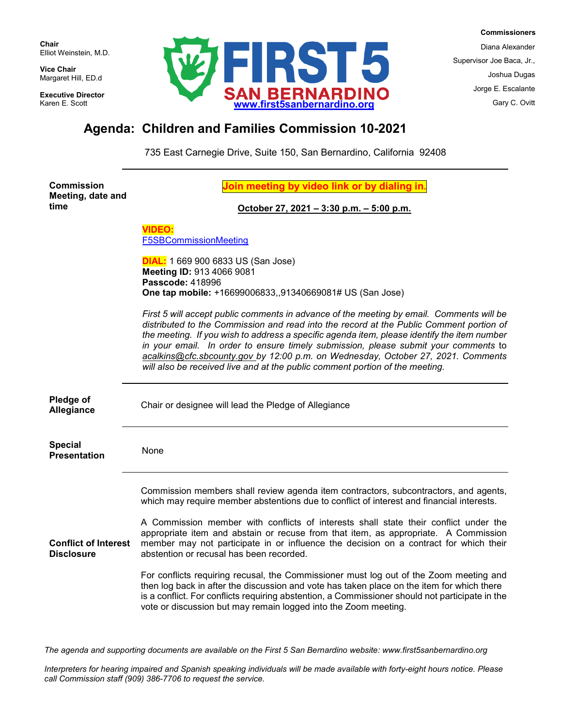**Chair** Elliot Weinstein, M.D.

**Vice Chair** Margaret Hill, ED.d

Executive Director Karen E. Scott



 **Commissioners** Diana Alexander Supervisor Joe Baca, Jr., Joshua Dugas Jorge E. Escalante Gary C. Ovitt

## **Agenda: Children and Families Commission 10-2021**

735 East Carnegie Drive, Suite 150, San Bernardino, California 92408

**Commission Meeting, date and time**

**Join meeting by video link or by dialing in.**

## **October 27, 2021 – 3:30 p.m. – 5:00 p.m.**

**VIDEO:** [F5SBCommissionMeeting](https://sbcounty.zoom.us/j/91340669081?pwd=bmlFU2ZzMnVxL3NwdVpVbzRmNWtMdz09)

**DIAL:** 1 669 900 6833 US (San Jose) **Meeting ID:** 913 4066 9081 **Passcode:** 418996 **One tap mobile:** +16699006833,,91340669081# US (San Jose)

*First 5 will accept public comments in advance of the meeting by email. Comments will be distributed to the Commission and read into the record at the Public Comment portion of the meeting. If you wish to address a specific agenda item, please identify the item number in your email. In order to ensure timely submission, please submit your comments* to *[acalkins@cfc.sbcounty.gov](mailto:acalkins@cfc.sbcounty.gov) by 12:00 p.m. on Wednesday, October 27, 2021. Comments will also be received live and at the public comment portion of the meeting.*

| Pledge of<br><b>Allegiance</b> | Chair or designee will lead the Pledge of Allegiance                                                                                                                                                                                                                                                                                                                                                                                                      |
|--------------------------------|-----------------------------------------------------------------------------------------------------------------------------------------------------------------------------------------------------------------------------------------------------------------------------------------------------------------------------------------------------------------------------------------------------------------------------------------------------------|
| Special<br>Presentation        | None                                                                                                                                                                                                                                                                                                                                                                                                                                                      |
| <b>Conflict of Interest</b>    | Commission members shall review agenda item contractors, subcontractors, and agents,<br>which may require member abstentions due to conflict of interest and financial interests.<br>A Commission member with conflicts of interests shall state their conflict under the<br>appropriate item and abstain or recuse from that item, as appropriate. A Commission<br>member may not participate in or influence the decision on a contract for which their |
| Disclosure                     | abstention or recusal has been recorded.<br>For conflicts requiring recusal, the Commissioner must log out of the Zoom meeting and<br>then log back in after the discussion and vote has taken place on the item for which there<br>is a conflict. For conflicts requiring abstention, a Commissioner should not participate in the<br>vote or discussion but may remain logged into the Zoom meeting.                                                    |

*The agenda and supporting documents are available on the First 5 San Bernardino website: www.first5sanbernardino.org*

*Interpreters for hearing impaired and Spanish speaking individuals will be made available with forty-eight hours notice. Please call Commission staff (909) 386-7706 to request the service.*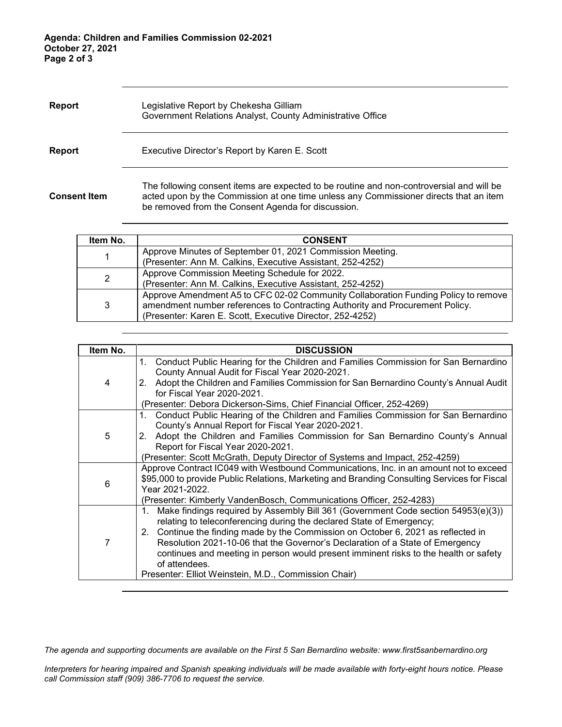## **Agenda: Children and Families Commission 02-2021 October 27, 2021 Page 2 of 3**

| <b>Identificate Administrative</b> | 88118F11 <b>T</b>                                                                                                                                                                                                                       |
|------------------------------------|-----------------------------------------------------------------------------------------------------------------------------------------------------------------------------------------------------------------------------------------|
| <b>Consent Item</b>                | The following consent items are expected to be routine and non-controversial and will be<br>acted upon by the Commission at one time unless any Commissioner directs that an item<br>be removed from the Consent Agenda for discussion. |
| <b>Report</b>                      | Executive Director's Report by Karen E. Scott                                                                                                                                                                                           |
| <b>Report</b>                      | Legislative Report by Chekesha Gilliam<br>Government Relations Analyst, County Administrative Office                                                                                                                                    |

| Item No. | <b>CONSENT</b>                                                                     |
|----------|------------------------------------------------------------------------------------|
|          | Approve Minutes of September 01, 2021 Commission Meeting.                          |
|          | (Presenter: Ann M. Calkins, Executive Assistant, 252-4252)                         |
| 2        | Approve Commission Meeting Schedule for 2022.                                      |
|          | (Presenter: Ann M. Calkins, Executive Assistant, 252-4252)                         |
| 3        | Approve Amendment A5 to CFC 02-02 Community Collaboration Funding Policy to remove |
|          | amendment number references to Contracting Authority and Procurement Policy.       |
|          | (Presenter: Karen E. Scott, Executive Director, 252-4252)                          |

| Item No. | <b>DISCUSSION</b>                                                                                                                                                                                                                                                                                                                                                                                                                                                                                      |
|----------|--------------------------------------------------------------------------------------------------------------------------------------------------------------------------------------------------------------------------------------------------------------------------------------------------------------------------------------------------------------------------------------------------------------------------------------------------------------------------------------------------------|
| 4        | Conduct Public Hearing for the Children and Families Commission for San Bernardino<br>$1_{\cdot}$<br>County Annual Audit for Fiscal Year 2020-2021.<br>2. Adopt the Children and Families Commission for San Bernardino County's Annual Audit<br>for Fiscal Year 2020-2021.                                                                                                                                                                                                                            |
|          | (Presenter: Debora Dickerson-Sims, Chief Financial Officer, 252-4269)                                                                                                                                                                                                                                                                                                                                                                                                                                  |
| 5        | Conduct Public Hearing of the Children and Families Commission for San Bernardino<br>1.<br>County's Annual Report for Fiscal Year 2020-2021.<br>2. Adopt the Children and Families Commission for San Bernardino County's Annual<br>Report for Fiscal Year 2020-2021.<br>(Presenter: Scott McGrath, Deputy Director of Systems and Impact, 252-4259)                                                                                                                                                   |
| 6        | Approve Contract IC049 with Westbound Communications, Inc. in an amount not to exceed<br>\$95,000 to provide Public Relations, Marketing and Branding Consulting Services for Fiscal<br>Year 2021-2022.<br>(Presenter: Kimberly VandenBosch, Communications Officer, 252-4283)                                                                                                                                                                                                                         |
| 7        | Make findings required by Assembly Bill 361 (Government Code section 54953(e)(3))<br>1.<br>relating to teleconferencing during the declared State of Emergency;<br>2. Continue the finding made by the Commission on October 6, 2021 as reflected in<br>Resolution 2021-10-06 that the Governor's Declaration of a State of Emergency<br>continues and meeting in person would present imminent risks to the health or safety<br>of attendees.<br>Presenter: Elliot Weinstein, M.D., Commission Chair) |

*The agenda and supporting documents are available on the First 5 San Bernardino website: www.first5sanbernardino.org*

*Interpreters for hearing impaired and Spanish speaking individuals will be made available with forty-eight hours notice. Please call Commission staff (909) 386-7706 to request the service.*